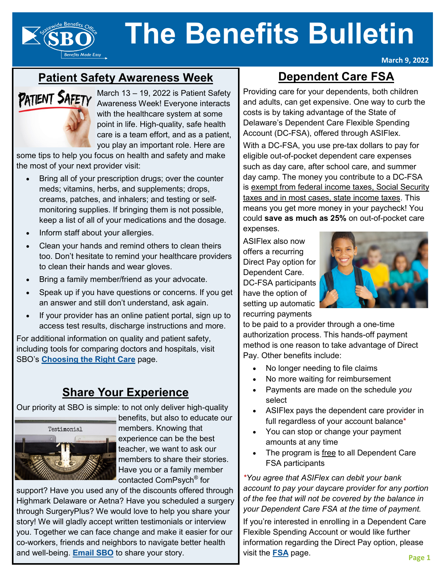

# **Patient Safety Awareness Week**

# PATIENT SAFETY

**Benefits Made Easy** 

March 13 – 19, 2022 is Patient Safety Awareness Week! Everyone interacts with the healthcare system at some point in life. High-quality, safe health care is a team effort, and as a patient, you play an important role. Here are

some tips to help you focus on health and safety and make the most of your next provider visit:

- Bring all of your prescription drugs; over the counter meds; vitamins, herbs, and supplements; drops, creams, patches, and inhalers; and testing or selfmonitoring supplies. If bringing them is not possible, keep a list of all of your medications and the dosage.
- Inform staff about your allergies.
- Clean your hands and remind others to clean theirs too. Don't hesitate to remind your healthcare providers to clean their hands and wear gloves.
- Bring a family member/friend as your advocate.
- Speak up if you have questions or concerns. If you get an answer and still don't understand, ask again.
- If your provider has an online patient portal, sign up to access test results, discharge instructions and more.

For additional information on quality and patient safety, including tools for comparing doctors and hospitals, visit SBO's **[Choosing the Right Care](https://dhr.delaware.gov/benefits/right-care/index.shtml?utm_source=Newsletter&utm_medium=Article&utm_campaign=BB202203ChoosingtheRightCare)** page.

#### **Share Your Experience**

Our priority at SBO is simple: to not only deliver high-quality



benefits, but also to educate our members. Knowing that experience can be the best teacher, we want to ask our members to share their stories. Have you or a family member contacted ComPsych® for

support? Have you used any of the discounts offered through Highmark Delaware or Aetna? Have you scheduled a surgery through SurgeryPlus? We would love to help you share your story! We will gladly accept written testimonials or interview you. Together we can face change and make it easier for our co-workers, friends and neighbors to navigate better health and well-being. **[Email SBO](mailto:sbo.communications@delaware.gov?subject=Testimonials)** to share your story.

# **Dependent Care FSA**

**March 9, 2022**

Providing care for your dependents, both children and adults, can get expensive. One way to curb the costs is by taking advantage of the State of Delaware's Dependent Care Flexible Spending Account (DC-FSA), offered through ASIFlex.

With a DC-FSA, you use pre-tax dollars to pay for eligible out-of-pocket dependent care expenses such as day care, after school care, and summer day camp. The money you contribute to a DC-FSA is exempt from federal income taxes, Social Security taxes and in most cases, state income taxes. This means you get more money in your paycheck! You could **save as much as 25%** on out-of-pocket care expenses.

ASIFlex also now offers a recurring Direct Pay option for Dependent Care. DC-FSA participants have the option of setting up automatic recurring payments



to be paid to a provider through a one-time authorization process. This hands-off payment method is one reason to take advantage of Direct Pay. Other benefits include:

- No longer needing to file claims
- No more waiting for reimbursement
- Payments are made on the schedule *you*  select
- ASIFlex pays the dependent care provider in full regardless of your account balance\*
- You can stop or change your payment amounts at any time
- The program is free to all Dependent Care FSA participants

*\*You agree that ASIFlex can debit your bank account to pay your daycare provider for any portion of the fee that will not be covered by the balance in your Dependent Care FSA at the time of payment.*

If you're interested in enrolling in a Dependent Care Flexible Spending Account or would like further information regarding the Direct Pay option, please visit the **[FSA](https://dhr.delaware.gov/benefits/fsa/index.shtml?utm_source=Newsletter&utm_medium=Article&utm_campaign=BB202203FSAPage)** page.